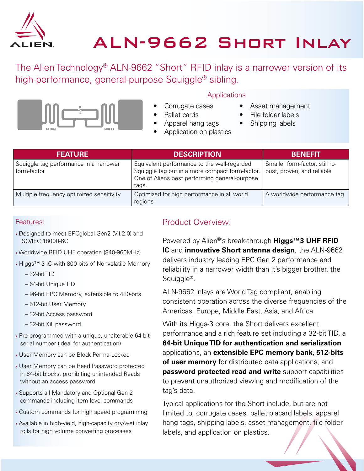

# ALN-9662 Short Inlay

The Alien Technology® ALN-9662 "Short" RFID inlay is a narrower version of its high-performance, general-purpose Squiggle® sibling.



#### **Applications**

Corrugate cases

• Apparel hang tags • Application on plastics

- Pallet cards
- Asset management File folder labels
- Shipping labels

| <b>FEATURE</b>                                        | <b>DESCRIPTION</b>                                                                                                                                       | <b>BENEFIT</b>                                               |
|-------------------------------------------------------|----------------------------------------------------------------------------------------------------------------------------------------------------------|--------------------------------------------------------------|
| Squiggle tag performance in a narrower<br>form-factor | Equivalent performance to the well-regarded<br>Squiggle tag but in a more compact form-factor.<br>One of Aliens best performing general-purpose<br>tags. | Smaller form-factor, still ro-<br>bust, proven, and reliable |
| Multiple frequency optimized sensitivity              | Optimized for high performance in all world<br>regions                                                                                                   | A worldwide performance tag                                  |

#### Features:

- › Designed to meet EPCglobal Gen2 (V1.2.0) and ISO/IEC 18000-6C
- › Worldwide RFID UHF operation (840-960MHz)
- › Higgs™-3 IC with 800-bits of Nonvolatile Memory
	- 32-bit TID
	- 64-bit Unique TID
	- 96-bit EPC Memory, extensible to 480-bits
	- 512-bit User Memory
	- 32-bit Access password
	- 32-bit Kill password
- › Pre-programmed with a unique, unalterable 64-bit serial number (ideal for authentication)
- › User Memory can be Block Perma-Locked
- › User Memory can be Read Password protected in 64-bit blocks, prohibiting unintended Reads without an access password
- › Supports all Mandatory and Optional Gen 2 commands including item level commands
- › Custom commands for high speed programming
- › Available in high-yield, high-capacity dry/wet inlay rolls for high volume converting processes

#### Product Overview:

Powered by Alien®'s break-through **Higgs™3 UHF RFID IC** and **innovative Short antenna design**, the ALN-9662 delivers industry leading EPC Gen 2 performance and reliability in a narrower width than it's bigger brother, the Squiggle®.

ALN-9662 inlays are World Tag compliant, enabling consistent operation across the diverse frequencies of the Americas, Europe, Middle East, Asia, and Africa.

With its Higgs-3 core, the Short delivers excellent performance and a rich feature set including a 32-bit TID, a **64-bit Unique TID for authentication and serialization**  applications, an **extensible EPC memory bank, 512-bits of user memory** for distributed data applications, and **password protected read and write** support capabilities to prevent unauthorized viewing and modification of the tag's data.

Typical applications for the Short include, but are not limited to, corrugate cases, pallet placard labels, apparel hang tags, shipping labels, asset management, file folder labels, and application on plastics.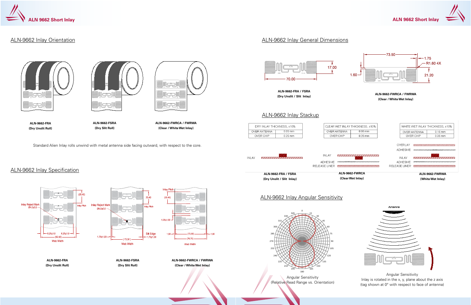

#### ALN-9662 Inlay Orientation

#### ALN-9662 Inlay Specification

Standard Alien Inlay rolls unwind with metal antenna side facing outward, with respect to the core.

### 17.00  $\mathbf{\dot{v}}$ 70.OC

#### ALN-9662 Inlay Stackup

### ALN-9662 Inlay Angular Sensitivity

#### ALN-9662 Inlay General Dimensions





**ALN-9662-FWRCA / FWRWA (Clear / White Wet Inlay)**

**ALN-9662-FSRA (Dry Slit Roll)**

**ALN-9662-FRA (Dry Unslit Roll)**



**ALN-9662-FSRA (Dry Slit Roll)**

**ALN-9662-FRA (Dry Unslit Roll)**



**ALN-9662-FRA / FSRA (Dry Unslit / Slit Inlay)**

## **(White Wet Inlay)**





Angular Sensitivity (Relative Read Range vs. Orientation)





Angular Sensitivity Inlay is rotated in the x, y, plane about the z axis (tag shown at 0° with respect to face of antenna)

**ALN-9662-FWRCA / FWRWA (Clear / White Wet Inlay)**

**ALN-9662-FWRCA / FWRWA (Clear / White Wet Inlay)**